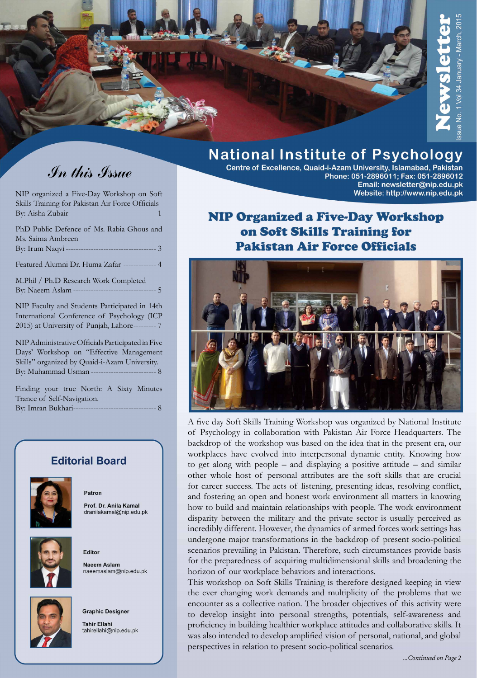

# In this Issue

NIP organized a Five-Day Workshop on Soft Skills Training for Pakistan Air Force Officials By: Aisha Zubair ---------------------------------- 1

PhD Public Defence of Ms. Rabia Ghous and Ms. Saima Ambreen By: Irum Naqvi -----------------Featured Alumni Dr. Huma Zafar ------------- 4 M.Phil / Ph.D Research Work Completed By: Naeem Aslam --------------------------------- 5 NIP Faculty and Students Participated in 14th International Conference of Psychology (ICP 2015) at University of Punjab, Lahore----NIP Administrative Officials Participated in Five Days' Workshop on "Effective Management Skills" organized by Quaid-i-Azam University. By: Muhammad Usman -----------------------

Finding your true North: A Sixty Minutes Trance of Self-Navigation. By: Imran Bukhari--------------------------------- 8

### **Editorial Board**



Patron

Prof. Dr. Anila Kamal dranilakamal@nip.edu.pk



Editor Naeem Aslam naeemaslam@nip.edu.pk



**Graphic Designer** 

**Tahir Ellahi** tahirellahi@nip.edu.pk

## **National Institute of Psychology**

Centre of Excellence, Quaid-i-Azam University, Islamabad, Pakistan Phone: 051-2896011; Fax: 051-2896012 Email: newsletter@nip.edu.pk Website: http://www.nip.edu.pk

### **NIP Organized a Five-Day Workshop** on Soft Skills Training for **Pakistan Air Force Officials**



A five day Soft Skills Training Workshop was organized by National Institute of Psychology in collaboration with Pakistan Air Force Headquarters. The backdrop of the workshop was based on the idea that in the present era, our workplaces have evolved into interpersonal dynamic entity. Knowing how to get along with people – and displaying a positive attitude – and similar other whole host of personal attributes are the soft skills that are crucial for career success. The acts of listening, presenting ideas, resolving conflict, and fostering an open and honest work environment all matters in knowing how to build and maintain relationships with people. The work environment disparity between the military and the private sector is usually perceived as incredibly different. However, the dynamics of armed forces work settings has undergone major transformations in the backdrop of present socio-political scenarios prevailing in Pakistan. Therefore, such circumstances provide basis for the preparedness of acquiring multidimensional skills and broadening the horizon of our workplace behaviors and interactions.

This workshop on Soft Skills Training is therefore designed keeping in view the ever changing work demands and multiplicity of the problems that we encounter as a collective nation. The broader objectives of this activity were to develop insight into personal strengths, potentials, self-awareness and proficiency in building healthier workplace attitudes and collaborative skills. It was also intended to develop amplified vision of personal, national, and global perspectives in relation to present socio-political scenarios.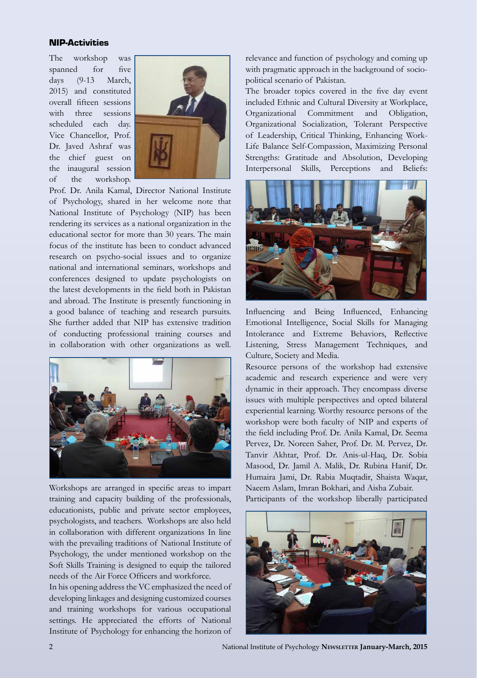#### NIP-Activities

The workshop was spanned for five days (9-13 March, 2015) and constituted overall fifteen sessions with three sessions scheduled each day. Vice Chancellor, Prof. Dr. Javed Ashraf was the chief guest on the inaugural session of the workshop.



Prof. Dr. Anila Kamal, Director National Institute of Psychology, shared in her welcome note that National Institute of Psychology (NIP) has been rendering its services as a national organization in the educational sector for more than 30 years. The main focus of the institute has been to conduct advanced research on psycho-social issues and to organize national and international seminars, workshops and conferences designed to update psychologists on the latest developments in the field both in Pakistan and abroad. The Institute is presently functioning in a good balance of teaching and research pursuits. She further added that NIP has extensive tradition of conducting professional training courses and in collaboration with other organizations as well.



Workshops are arranged in specific areas to impart training and capacity building of the professionals, educationists, public and private sector employees, psychologists, and teachers. Workshops are also held in collaboration with different organizations In line with the prevailing traditions of National Institute of Psychology, the under mentioned workshop on the Soft Skills Training is designed to equip the tailored needs of the Air Force Officers and workforce.

In his opening address the VC emphasized the need of developing linkages and designing customized courses and training workshops for various occupational settings. He appreciated the efforts of National Institute of Psychology for enhancing the horizon of

relevance and function of psychology and coming up with pragmatic approach in the background of sociopolitical scenario of Pakistan.

The broader topics covered in the five day event included Ethnic and Cultural Diversity at Workplace, Organizational Commitment and Obligation, Organizational Socialization, Tolerant Perspective of Leadership, Critical Thinking, Enhancing Work-Life Balance Self-Compassion, Maximizing Personal Strengths: Gratitude and Absolution, Developing Interpersonal Skills, Perceptions and Beliefs:



Influencing and Being Influenced, Enhancing Emotional Intelligence, Social Skills for Managing Intolerance and Extreme Behaviors, Reflective Listening, Stress Management Techniques, and Culture, Society and Media.

Resource persons of the workshop had extensive academic and research experience and were very dynamic in their approach. They encompass diverse issues with multiple perspectives and opted bilateral experiential learning. Worthy resource persons of the workshop were both faculty of NIP and experts of the field including Prof. Dr. Anila Kamal, Dr. Seema Pervez, Dr. Noreen Saher, Prof. Dr. M. Pervez, Dr. Tanvir Akhtar, Prof. Dr. Anis-ul-Haq, Dr. Sobia Masood, Dr. Jamil A. Malik, Dr. Rubina Hanif, Dr. Humaira Jami, Dr. Rabia Muqtadir, Shaista Waqar, Naeem Aslam, Imran Bokhari, and Aisha Zubair.

Participants of the workshop liberally participated



2 National Institute of Psychology **Newsletter January-March, 2015**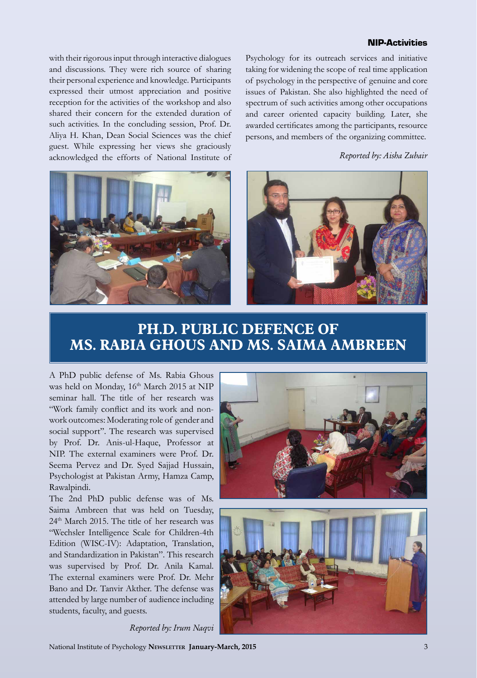#### NIP-Activities

with their rigorous input through interactive dialogues and discussions. They were rich source of sharing their personal experience and knowledge. Participants expressed their utmost appreciation and positive reception for the activities of the workshop and also shared their concern for the extended duration of such activities. In the concluding session, Prof. Dr. Aliya H. Khan, Dean Social Sciences was the chief guest. While expressing her views she graciously acknowledged the efforts of National Institute of

Psychology for its outreach services and initiative taking for widening the scope of real time application of psychology in the perspective of genuine and core issues of Pakistan. She also highlighted the need of spectrum of such activities among other occupations and career oriented capacity building. Later, she awarded certificates among the participants, resource persons, and members of the organizing committee.

*Reported by: Aisha Zubair*





### **PH.D. PUBLIC DEFENCE OF MS. RABIA GHOUS AND MS. SAIMA AMBREEN**

A PhD public defense of Ms. Rabia Ghous was held on Monday,  $16<sup>th</sup>$  March 2015 at NIP seminar hall. The title of her research was "Work family conflict and its work and nonwork outcomes: Moderating role of gender and social support''. The research was supervised by Prof. Dr. Anis-ul-Haque, Professor at NIP. The external examiners were Prof. Dr. Seema Pervez and Dr. Syed Sajjad Hussain, Psychologist at Pakistan Army, Hamza Camp, Rawalpindi.

The 2nd PhD public defense was of Ms. Saima Ambreen that was held on Tuesday, 24th March 2015. The title of her research was "Wechsler Intelligence Scale for Children-4th Edition (WISC-IV): Adaptation, Translation, and Standardization in Pakistan". This research was supervised by Prof. Dr. Anila Kamal. The external examiners were Prof. Dr. Mehr Bano and Dr. Tanvir Akther. The defense was attended by large number of audience including students, faculty, and guests.





*Reported by: Irum Naqvi*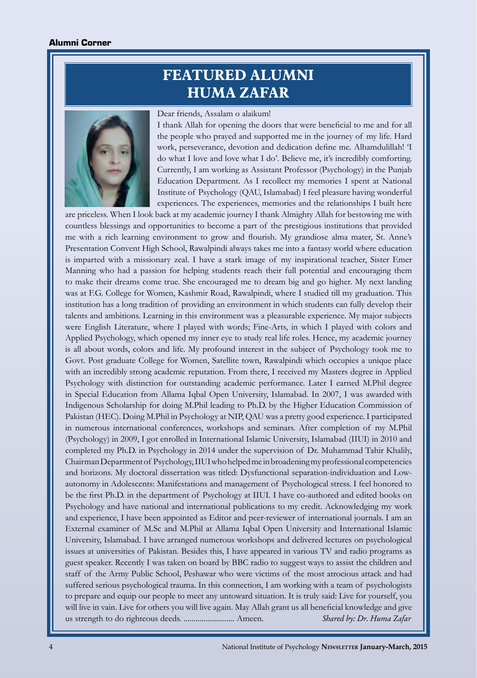## **FEATURED ALUMNI HUMA ZAFAR**



#### Dear friends, Assalam o alaikum!

I thank Allah for opening the doors that were beneficial to me and for all the people who prayed and supported me in the journey of my life. Hard work, perseverance, devotion and dedication define me. Alhamdulillah! 'I do what I love and love what I do'. Believe me, it's incredibly comforting. Currently, I am working as Assistant Professor (Psychology) in the Punjab Education Department. As I recollect my memories I spent at National Institute of Psychology (QAU, Islamabad) I feel pleasure having wonderful experiences. The experiences, memories and the relationships I built here

are priceless. When I look back at my academic journey I thank Almighty Allah for bestowing me with countless blessings and opportunities to become a part of the prestigious institutions that provided me with a rich learning environment to grow and flourish. My grandiose alma mater, St. Anne's Presentation Convent High School, Rawalpindi always takes me into a fantasy world where education is imparted with a missionary zeal. I have a stark image of my inspirational teacher, Sister Emer Manning who had a passion for helping students reach their full potential and encouraging them to make their dreams come true. She encouraged me to dream big and go higher. My next landing was at F.G. College for Women, Kashmir Road, Rawalpindi, where I studied till my graduation. This institution has a long tradition of providing an environment in which students can fully develop their talents and ambitions. Learning in this environment was a pleasurable experience. My major subjects were English Literature, where I played with words; Fine-Arts, in which I played with colors and Applied Psychology, which opened my inner eye to study real life roles. Hence, my academic journey is all about words, colors and life. My profound interest in the subject of Psychology took me to Govt. Post graduate College for Women, Satellite town, Rawalpindi which occupies a unique place with an incredibly strong academic reputation. From there, I received my Masters degree in Applied Psychology with distinction for outstanding academic performance. Later I earned M.Phil degree in Special Education from Allama Iqbal Open University, Islamabad. In 2007, I was awarded with Indigenous Scholarship for doing M.Phil leading to Ph.D. by the Higher Education Commission of Pakistan (HEC). Doing M.Phil in Psychology at NIP, QAU was a pretty good experience. I participated in numerous international conferences, workshops and seminars. After completion of my M.Phil (Psychology) in 2009, I got enrolled in International Islamic University, Islamabad (IIUI) in 2010 and completed my Ph.D. in Psychology in 2014 under the supervision of Dr. Muhammad Tahir Khalily, Chairman Department of Psychology, IIUI who helped me in broadening my professional competencies and horizons. My doctoral dissertation was titled: Dysfunctional separation-individuation and Lowautonomy in Adolescents: Manifestations and management of Psychological stress. I feel honored to be the first Ph.D. in the department of Psychology at IIUI. I have co-authored and edited books on Psychology and have national and international publications to my credit. Acknowledging my work and experience, I have been appointed as Editor and peer-reviewer of international journals. I am an External examiner of M.Sc and M.Phil at Allama Iqbal Open University and International Islamic University, Islamabad. I have arranged numerous workshops and delivered lectures on psychological issues at universities of Pakistan. Besides this, I have appeared in various TV and radio programs as guest speaker. Recently I was taken on board by BBC radio to suggest ways to assist the children and staff of the Army Public School, Peshawar who were victims of the most atrocious attack and had suffered serious psychological trauma. In this connection, I am working with a team of psychologists to prepare and equip our people to meet any untoward situation. It is truly said: Live for yourself, you will live in vain. Live for others you will live again. May Allah grant us all beneficial knowledge and give us strength to do righteous deeds. .......................... Ameen. *Shared by: Dr. Huma Zafar*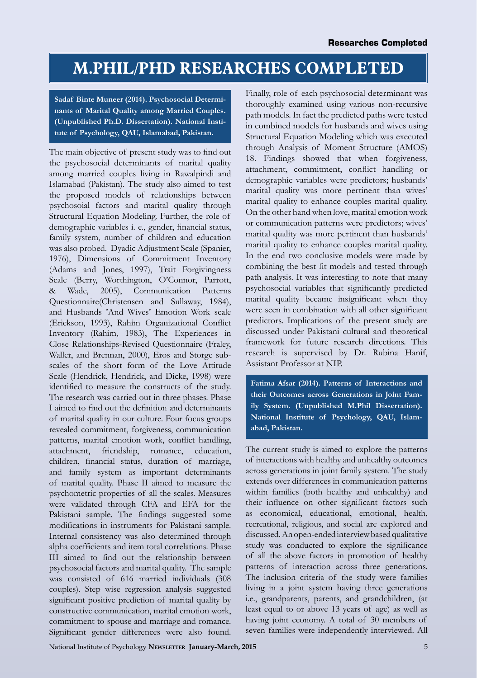## **M.PHIL/PHD RESEARCHES COMPLETED**

**Sadaf Binte Muneer (2014). Psychosocial Determinants of Marital Quality among Married Couples. (Unpublished Ph.D. Dissertation). National Institute of Psychology, QAU, Islamabad, Pakistan.**

The main objective of present study was to find out the psychosocial determinants of marital quality among married couples living in Rawalpindi and Islamabad (Pakistan). The study also aimed to test the proposed models of relationships between psychosoial factors and marital quality through Structural Equation Modeling. Further, the role of demographic variables i. e., gender, financial status, family system, number of children and education was also probed. Dyadic Adjustment Scale (Spanier, 1976), Dimensions of Commitment Inventory (Adams and Jones, 1997), Trait Forgivingness Scale (Berry, Worthington, O'Connor, Parrott, & Wade, 2005), Communication Patterns Questionnaire(Christensen and Sullaway, 1984), and Husbands 'And Wives' Emotion Work scale (Erickson, 1993), Rahim Organizational Conflict Inventory (Rahim, 1983), The Experiences in Close Relationships-Revised Questionnaire (Fraley, Waller, and Brennan, 2000), Eros and Storge subscales of the short form of the Love Attitude Scale (Hendrick, Hendrick, and Dicke, 1998) were identified to measure the constructs of the study. The research was carried out in three phases. Phase I aimed to find out the definition and determinants of marital quality in our culture. Four focus groups revealed commitment, forgiveness, communication patterns, marital emotion work, conflict handling, attachment, friendship, romance, education, children, financial status, duration of marriage, and family system as important determinants of marital quality. Phase II aimed to measure the psychometric properties of all the scales. Measures were validated through CFA and EFA for the Pakistani sample. The findings suggested some modifications in instruments for Pakistani sample. Internal consistency was also determined through alpha coefficients and item total correlations. Phase III aimed to find out the relationship between psychosocial factors and marital quality. The sample was consisted of 616 married individuals (308 couples). Step wise regression analysis suggested significant positive prediction of marital quality by constructive communication, marital emotion work, commitment to spouse and marriage and romance. Significant gender differences were also found.

Finally, role of each psychosocial determinant was thoroughly examined using various non-recursive path models. In fact the predicted paths were tested in combined models for husbands and wives using Structural Equation Modeling which was executed through Analysis of Moment Structure (AMOS) 18. Findings showed that when forgiveness, attachment, commitment, conflict handling or demographic variables were predictors; husbands' marital quality was more pertinent than wives' marital quality to enhance couples marital quality. On the other hand when love, marital emotion work or communication patterns were predictors; wives' marital quality was more pertinent than husbands' marital quality to enhance couples marital quality. In the end two conclusive models were made by combining the best fit models and tested through path analysis. It was interesting to note that many psychosocial variables that significantly predicted marital quality became insignificant when they were seen in combination with all other significant predictors. Implications of the present study are discussed under Pakistani cultural and theoretical framework for future research directions. This research is supervised by Dr. Rubina Hanif, Assistant Professor at NIP.

**Fatima Afsar (2014). Patterns of Interactions and their Outcomes across Generations in Joint Family System. (Unpublished M.Phil Dissertation). National Institute of Psychology, QAU, Islamabad, Pakistan.**

The current study is aimed to explore the patterns of interactions with healthy and unhealthy outcomes across generations in joint family system. The study extends over differences in communication patterns within families (both healthy and unhealthy) and their influence on other significant factors such as economical, educational, emotional, health, recreational, religious, and social are explored and discussed. An open-ended interview based qualitative study was conducted to explore the significance of all the above factors in promotion of healthy patterns of interaction across three generations. The inclusion criteria of the study were families living in a joint system having three generations i.e., grandparents, parents, and grandchildren, (at least equal to or above 13 years of age) as well as having joint economy. A total of 30 members of seven families were independently interviewed. All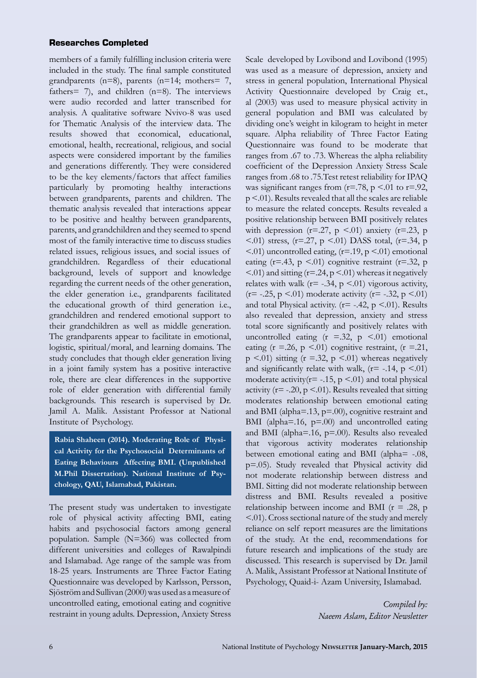#### Researches Completed

members of a family fulfilling inclusion criteria were included in the study. The final sample constituted grandparents (n=8), parents (n=14; mothers= 7, fathers= 7), and children  $(n=8)$ . The interviews were audio recorded and latter transcribed for analysis. A qualitative software Nvivo-8 was used for Thematic Analysis of the interview data. The results showed that economical, educational, emotional, health, recreational, religious, and social aspects were considered important by the families and generations differently. They were considered to be the key elements/factors that affect families particularly by promoting healthy interactions between grandparents, parents and children. The thematic analysis revealed that interactions appear to be positive and healthy between grandparents, parents, and grandchildren and they seemed to spend most of the family interactive time to discuss studies related issues, religious issues, and social issues of grandchildren. Regardless of their educational background, levels of support and knowledge regarding the current needs of the other generation, the elder generation i.e., grandparents facilitated the educational growth of third generation i.e., grandchildren and rendered emotional support to their grandchildren as well as middle generation. The grandparents appear to facilitate in emotional, logistic, spiritual/moral, and learning domains. The study concludes that though elder generation living in a joint family system has a positive interactive role, there are clear differences in the supportive role of elder generation with differential family backgrounds. This research is supervised by Dr. Jamil A. Malik. Assistant Professor at National Institute of Psychology.

**Rabia Shaheen (2014). Moderating Role of Physical Activity for the Psychosocial Determinants of Eating Behaviours Affecting BMI. (Unpublished M.Phil Dissertation). National Institute of Psychology, QAU, Islamabad, Pakistan.**

The present study was undertaken to investigate role of physical activity affecting BMI, eating habits and psychosocial factors among general population. Sample (N=366) was collected from different universities and colleges of Rawalpindi and Islamabad. Age range of the sample was from 18-25 years. Instruments are Three Factor Eating Questionnaire was developed by Karlsson, Persson, Sjöström and Sullivan (2000) was used as a measure of uncontrolled eating, emotional eating and cognitive restraint in young adults. Depression, Anxiety Stress

Scale developed by Lovibond and Lovibond (1995) was used as a measure of depression, anxiety and stress in general population, International Physical Activity Questionnaire developed by Craig et., al (2003) was used to measure physical activity in general population and BMI was calculated by dividing one's weight in kilogram to height in meter square. Alpha reliability of Three Factor Eating Questionnaire was found to be moderate that ranges from .67 to .73. Whereas the alpha reliability coefficient of the Depression Anxiety Stress Scale ranges from .68 to .75.Test retest reliability for IPAQ was significant ranges from  $(r=.78, p \le 0.01)$  to  $r=.92$ , p <.01). Results revealed that all the scales are reliable to measure the related concepts. Results revealed a positive relationship between BMI positively relates with depression ( $r=27$ ,  $p \le 01$ ) anxiety ( $r=23$ ,  $p$  $\leq$ .01) stress, (r=.27, p  $\leq$ .01) DASS total, (r=.34, p  $\leq$ .01) uncontrolled eating, (r=.19, p $\leq$ .01) emotional eating ( $r=43$ ,  $p < 01$ ) cognitive restraint ( $r=32$ ,  $p$ )  $\leq$ .01) and sitting ( $r = 0.24$ ,  $p \leq$ .01) whereas it negatively relates with walk ( $r = -.34$ ,  $p \le .01$ ) vigorous activity,  $(r=-.25, p \le 01)$  moderate activity  $(r=-.32, p \le 01)$ and total Physical activity. ( $r=$  -.42,  $p < 01$ ). Results also revealed that depression, anxiety and stress total score significantly and positively relates with uncontrolled eating  $(r = .32, p < .01)$  emotional eating ( $r = 26$ ,  $p \le 01$ ) cognitive restraint, ( $r = 21$ ,  $p \leq 01$ ) sitting (r = 32, p  $\leq 01$ ) whereas negatively and significantly relate with walk,  $(r= -.14, p \le .01)$ moderate activity( $r = -15$ ,  $p \le 01$ ) and total physical activity ( $r = -20$ ,  $p < 01$ ). Results revealed that sitting moderates relationship between emotional eating and BMI (alpha=.13, p=.00), cognitive restraint and BMI (alpha= $.16$ ,  $p=0.00$ ) and uncontrolled eating and BMI (alpha=.16, p=.00). Results also revealed that vigorous activity moderates relationship between emotional eating and BMI (alpha= -.08, p=.05). Study revealed that Physical activity did not moderate relationship between distress and BMI. Sitting did not moderate relationship between distress and BMI. Results revealed a positive relationship between income and BMI ( $r = .28$ , p <.01). Cross sectional nature of the study and merely reliance on self report measures are the limitations of the study. At the end, recommendations for future research and implications of the study are discussed. This research is supervised by Dr. Jamil A. Malik, Assistant Professor at National Institute of Psychology, Quaid-i- Azam University, Islamabad.

> *Compiled by: Naeem Aslam, Editor Newsletter*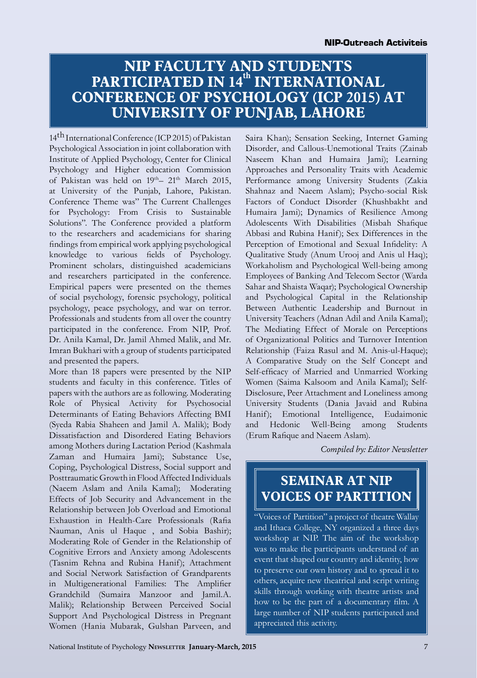### **NIP FACULTY AND STUDENTS PARTICIPATED IN 14th INTERNATIONAL CONFERENCE OF PSYCHOLOGY (ICP 2015) AT UNIVERSITY OF PUNJAB, LAHORE**

14<sup>th</sup> International Conference (ICP 2015) of Pakistan Psychological Association in joint collaboration with Institute of Applied Psychology, Center for Clinical Psychology and Higher education Commission of Pakistan was held on 19<sup>th</sup>– 21<sup>th</sup> March 2015, at University of the Punjab, Lahore, Pakistan. Conference Theme was" The Current Challenges for Psychology: From Crisis to Sustainable Solutions". The Conference provided a platform to the researchers and academicians for sharing findings from empirical work applying psychological knowledge to various fields of Psychology. Prominent scholars, distinguished academicians and researchers participated in the conference. Empirical papers were presented on the themes of social psychology, forensic psychology, political psychology, peace psychology, and war on terror. Professionals and students from all over the country participated in the conference. From NIP, Prof. Dr. Anila Kamal, Dr. Jamil Ahmed Malik, and Mr. Imran Bukhari with a group of students participated and presented the papers.

More than 18 papers were presented by the NIP students and faculty in this conference. Titles of papers with the authors are as following. Moderating Role of Physical Activity for Psychosocial Determinants of Eating Behaviors Affecting BMI (Syeda Rabia Shaheen and Jamil A. Malik); Body Dissatisfaction and Disordered Eating Behaviors among Mothers during Lactation Period (Kashmala Zaman and Humaira Jami); Substance Use, Coping, Psychological Distress, Social support and Posttraumatic Growth in Flood Affected Individuals (Naeem Aslam and Anila Kamal); Moderating Effects of Job Security and Advancement in the Relationship between Job Overload and Emotional Exhaustion in Health-Care Professionals (Rafia Nauman, Anis ul Haque , and Sobia Bashir); Moderating Role of Gender in the Relationship of Cognitive Errors and Anxiety among Adolescents (Tasnim Rehna and Rubina Hanif); Attachment and Social Network Satisfaction of Grandparents in Multigenerational Families: The Amplifier Grandchild (Sumaira Manzoor and Jamil.A. Malik); Relationship Between Perceived Social Support And Psychological Distress in Pregnant Women (Hania Mubarak, Gulshan Parveen, and

Saira Khan); Sensation Seeking, Internet Gaming Disorder, and Callous-Unemotional Traits (Zainab Naseem Khan and Humaira Jami); Learning Approaches and Personality Traits with Academic Performance among University Students (Zakia Shahnaz and Naeem Aslam); Psycho-social Risk Factors of Conduct Disorder (Khushbakht and Humaira Jami); Dynamics of Resilience Among Adolescents With Disabilities (Misbah Shafique Abbasi and Rubina Hanif); Sex Differences in the Perception of Emotional and Sexual Infidelity: A Qualitative Study (Anum Urooj and Anis ul Haq); Workaholism and Psychological Well-being among Employees of Banking And Telecom Sector (Warda Sahar and Shaista Waqar); Psychological Ownership and Psychological Capital in the Relationship Between Authentic Leadership and Burnout in University Teachers (Adnan Adil and Anila Kamal); The Mediating Effect of Morale on Perceptions of Organizational Politics and Turnover Intention Relationship (Faiza Rasul and M. Anis-ul-Haque); A Comparative Study on the Self Concept and Self-efficacy of Married and Unmarried Working Women (Saima Kalsoom and Anila Kamal); Self-Disclosure, Peer Attachment and Loneliness among University Students (Dania Javaid and Rubina Hanif); Emotional Intelligence, Eudaimonic and Hedonic Well-Being among Students (Erum Rafique and Naeem Aslam).

*Compiled by: Editor Newsletter*

## **SEMINAR AT NIP VOICES OF PARTITION**

"Voices of Partition" a project of theatre Wallay and Ithaca College, NY organized a three days workshop at NIP. The aim of the workshop was to make the participants understand of an event that shaped our country and identity, how to preserve our own history and to spread it to others, acquire new theatrical and script writing skills through working with theatre artists and how to be the part of a documentary film. A large number of NIP students participated and appreciated this activity.